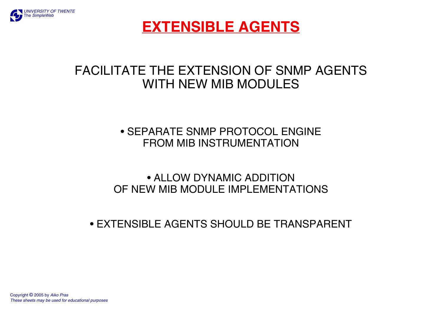

# **EXTENSIBLE AGENTS**

# FACILITATE THE EXTENSION OF SNMP AGENTS WITH NEW MIB MODULES

### • SEPARATE SNMP PROTOCOL ENGINE FROM MIB INSTRUMENTATION

### • ALLOW DYNAMIC ADDITION OF NEW MIB MODULE IMPLEMENTATIONS

#### • EXTENSIBLE AGENTS SHOULD BE TRANSPARENT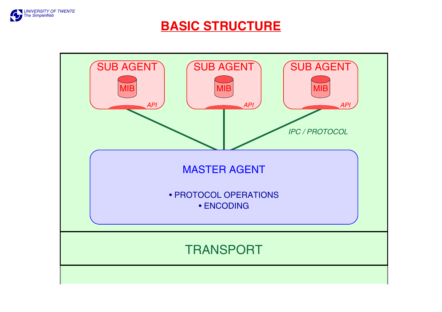

### **BASIC STRUCTURE**

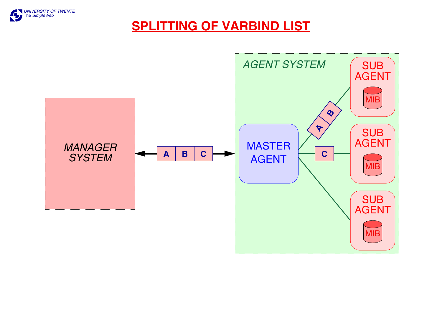

### **SPLITTING OF VARBIND LIST**

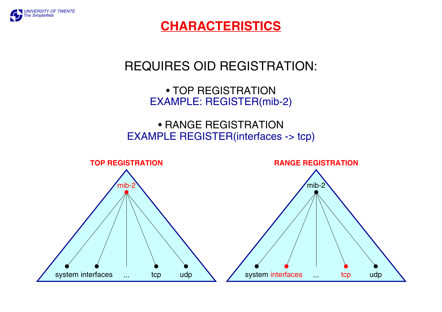

**CHARACTERISTICS**

# REQUIRES OID REGISTRATION:

• TOP REGISTRATION EXAMPLE: REGISTER(mib-2)

• RANGE REGISTRATION EXAMPLE REGISTER(interfaces -> tcp)

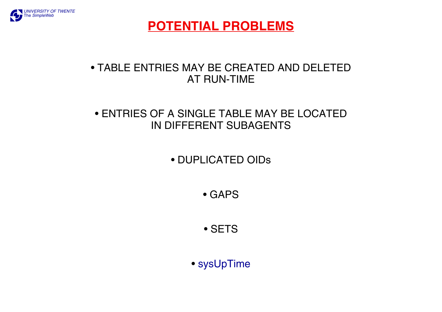

**POTENTIAL PROBLEMS**

#### • TABLE ENTRIES MAY BE CREATED AND DELETED AT RUN-TIME

#### • ENTRIES OF A SINGLE TABLE MAY BE LOCATED IN DIFFERENT SUBAGENTS

### • DUPLICATED OIDs

• GAPS

• SETS

• sysUpTime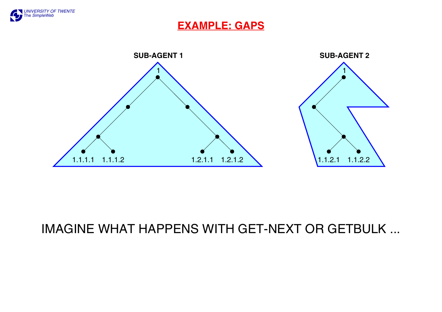

#### **EXAMPLE: GAPS**



## IMAGINE WHAT HAPPENS WITH GET-NEXT OR GETBULK ...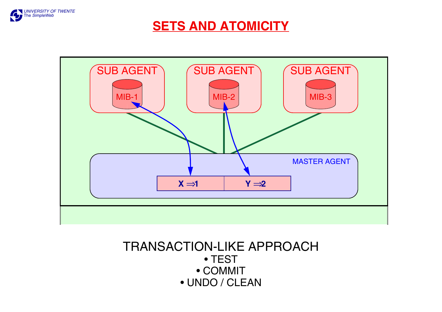

### **SETS AND ATOMICITY**



### TRANSACTION-LIKE APPROACH • TEST • COMMIT • UNDO / CLEAN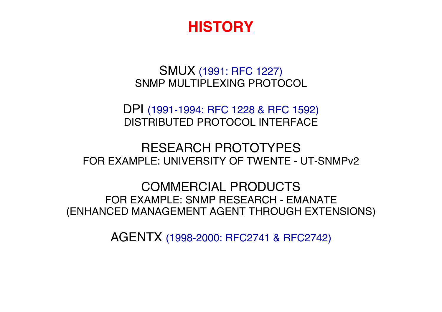# **HISTORY**

### SMUX (1991: RFC 1227) SNMP MULTIPLEXING PROTOCOL

DPI (1991-1994: RFC 1228 & RFC 1592) DISTRIBUTED PROTOCOL INTERFACE

### RESEARCH PROTOTYPES FOR EXAMPLE: UNIVERSITY OF TWENTE - UT-SNMPv2

COMMERCIAL PRODUCTS FOR EXAMPLE: SNMP RESEARCH - EMANATE (ENHANCED MANAGEMENT AGENT THROUGH EXTENSIONS)

AGENTX (1998-2000: RFC2741 & RFC2742)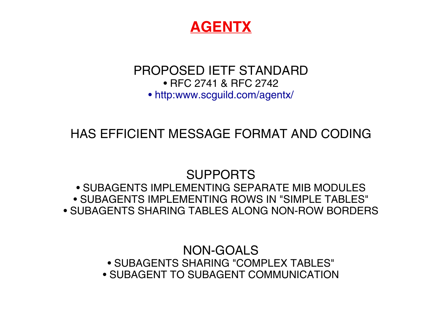

### PROPOSED IETF STANDARD • RFC 2741 & RFC 2742 • http:www.scguild.com/agentx/

# HAS EFFICIENT MESSAGE FORMAT AND CODING

# SUPPORTS

• SUBAGENTS IMPLEMENTING SEPARATE MIB MODULES • SUBAGENTS IMPLEMENTING ROWS IN "SIMPLE TABLES" • SUBAGENTS SHARING TABLES ALONG NON-ROW BORDERS

> NON-GOALS • SUBAGENTS SHARING "COMPLEX TABLES" • SUBAGENT TO SUBAGENT COMMUNICATION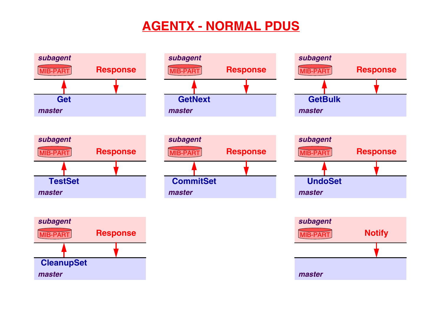# **AGENTX - NORMAL PDUS**

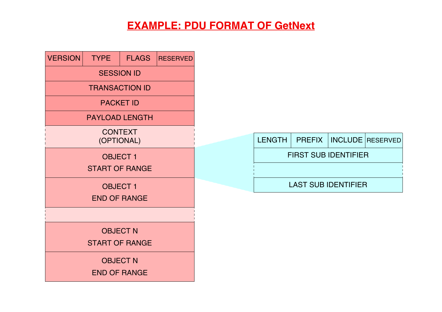### **EXAMPLE: PDU FORMAT OF GetNext**

| <b>VERSION</b>               | <b>TYPE</b> | <b>FLAGS</b> | <b>RESERVED</b> |  |  |  |
|------------------------------|-------------|--------------|-----------------|--|--|--|
| <b>SESSION ID</b>            |             |              |                 |  |  |  |
| <b>TRANSACTION ID</b>        |             |              |                 |  |  |  |
| <b>PACKET ID</b>             |             |              |                 |  |  |  |
| <b>PAYLOAD LENGTH</b>        |             |              |                 |  |  |  |
| <b>CONTEXT</b><br>(OPTIONAL) |             |              |                 |  |  |  |
| <b>OBJECT1</b>               |             |              |                 |  |  |  |
| <b>START OF RANGE</b>        |             |              |                 |  |  |  |
| <b>OBJECT1</b>               |             |              |                 |  |  |  |
| <b>END OF RANGE</b>          |             |              |                 |  |  |  |
|                              |             |              |                 |  |  |  |
| <b>OBJECT N</b>              |             |              |                 |  |  |  |
| <b>START OF RANGE</b>        |             |              |                 |  |  |  |
| <b>OBJECT N</b>              |             |              |                 |  |  |  |
| <b>END OF RANGE</b>          |             |              |                 |  |  |  |

|                             |  |  | LENGTH   PREFIX   INCLUDE RESERVED |  |  |  |  |
|-----------------------------|--|--|------------------------------------|--|--|--|--|
| <b>FIRST SUB IDENTIFIER</b> |  |  |                                    |  |  |  |  |
|                             |  |  |                                    |  |  |  |  |
| <b>LAST SUB IDENTIFIER</b>  |  |  |                                    |  |  |  |  |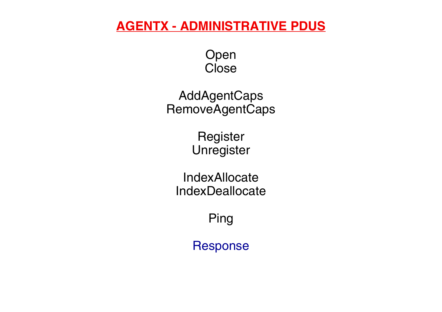### **AGENTX - ADMINISTRATIVE PDUS**

Open **Close** 

AddAgentCaps RemoveAgentCaps

> **Register** Unregister

IndexAllocate IndexDeallocate

Ping

Response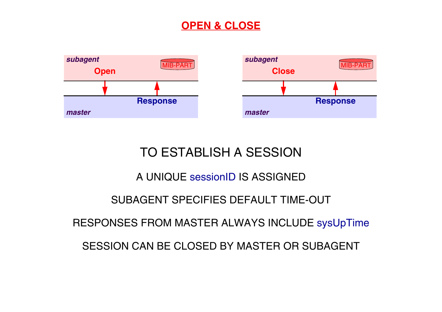### **OPEN & CLOSE**



# TO ESTABLISH A SESSION

#### A UNIQUE sessionID IS ASSIGNED

### SUBAGENT SPECIFIES DEFAULT TIME-OUT

#### RESPONSES FROM MASTER ALWAYS INCLUDE sysUpTime

SESSION CAN BE CLOSED BY MASTER OR SUBAGENT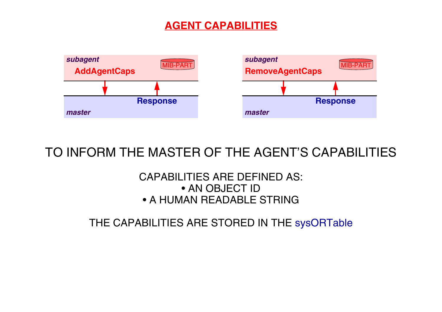### **AGENT CAPABILITIES**



### TO INFORM THE MASTER OF THE AGENT'S CAPABILITIES

#### CAPABILITIES ARE DEFINED AS: • AN OBJECT ID • A HUMAN READABLE STRING

THE CAPABILITIES ARE STORED IN THE sysORTable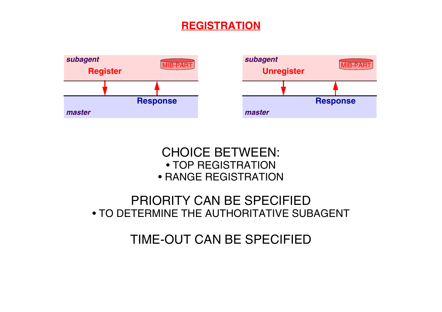### **REGISTRATION**





### PRIORITY CAN BE SPECIFIED • TO DETERMINE THE AUTHORITATIVE SUBAGENT

TIME-OUT CAN BE SPECIFIED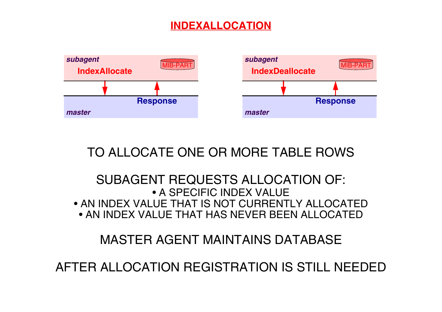### **INDEXALLOCATION**



TO ALLOCATE ONE OR MORE TABLE ROWS

#### SUBAGENT REQUESTS ALLOCATION OF: • A SPECIFIC INDEX VALUE • AN INDEX VALUE THAT IS NOT CURRENTLY ALLOCATED • AN INDEX VALUE THAT HAS NEVER BEEN ALLOCATED

MASTER AGENT MAINTAINS DATABASE

AFTER ALLOCATION REGISTRATION IS STILL NEEDED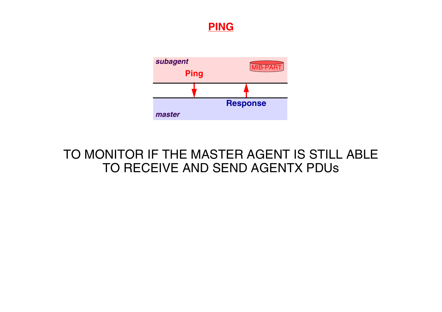



### TO MONITOR IF THE MASTER AGENT IS STILL ABLE TO RECEIVE AND SEND AGENTX PDUs